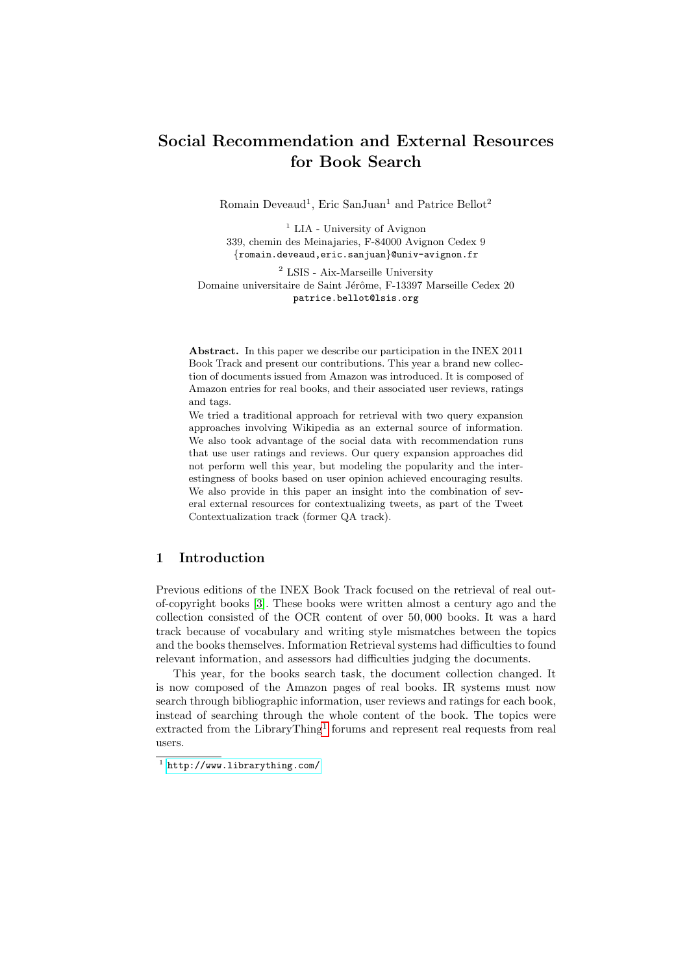# Social Recommendation and External Resources for Book Search

Romain Deveaud<sup>1</sup>, Eric SanJuan<sup>1</sup> and Patrice Bellot<sup>2</sup>

<sup>1</sup> LIA - University of Avignon 339, chemin des Meinajaries, F-84000 Avignon Cedex 9 {romain.deveaud,eric.sanjuan}@univ-avignon.fr

<sup>2</sup> LSIS - Aix-Marseille University Domaine universitaire de Saint Jérôme, F-13397 Marseille Cedex 20 patrice.bellot@lsis.org

Abstract. In this paper we describe our participation in the INEX 2011 Book Track and present our contributions. This year a brand new collection of documents issued from Amazon was introduced. It is composed of Amazon entries for real books, and their associated user reviews, ratings and tags.

We tried a traditional approach for retrieval with two query expansion approaches involving Wikipedia as an external source of information. We also took advantage of the social data with recommendation runs that use user ratings and reviews. Our query expansion approaches did not perform well this year, but modeling the popularity and the interestingness of books based on user opinion achieved encouraging results. We also provide in this paper an insight into the combination of several external resources for contextualizing tweets, as part of the Tweet Contextualization track (former QA track).

# 1 Introduction

Previous editions of the INEX Book Track focused on the retrieval of real outof-copyright books [\[3\]](#page-10-0). These books were written almost a century ago and the collection consisted of the OCR content of over 50, 000 books. It was a hard track because of vocabulary and writing style mismatches between the topics and the books themselves. Information Retrieval systems had difficulties to found relevant information, and assessors had difficulties judging the documents.

This year, for the books search task, the document collection changed. It is now composed of the Amazon pages of real books. IR systems must now search through bibliographic information, user reviews and ratings for each book, instead of searching through the whole content of the book. The topics were extracted from the LibraryThing<sup>[1](#page-0-0)</sup> forums and represent real requests from real users.

<span id="page-0-0"></span><sup>1</sup> <http://www.librarything.com/>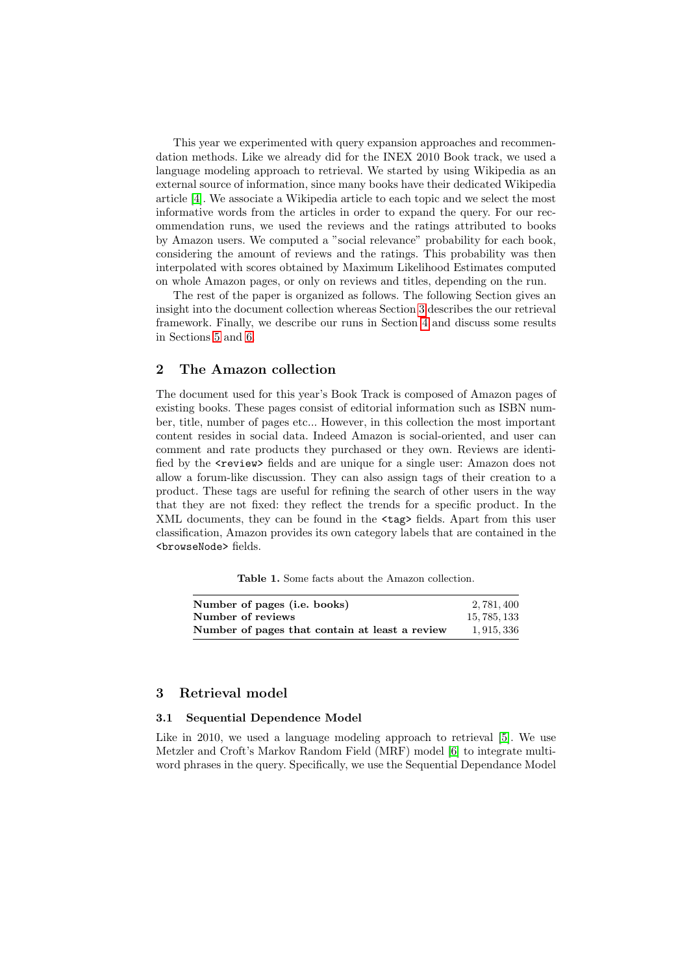This year we experimented with query expansion approaches and recommendation methods. Like we already did for the INEX 2010 Book track, we used a language modeling approach to retrieval. We started by using Wikipedia as an external source of information, since many books have their dedicated Wikipedia article [\[4\]](#page-11-0). We associate a Wikipedia article to each topic and we select the most informative words from the articles in order to expand the query. For our recommendation runs, we used the reviews and the ratings attributed to books by Amazon users. We computed a "social relevance" probability for each book, considering the amount of reviews and the ratings. This probability was then interpolated with scores obtained by Maximum Likelihood Estimates computed on whole Amazon pages, or only on reviews and titles, depending on the run.

The rest of the paper is organized as follows. The following Section gives an insight into the document collection whereas Section [3](#page-1-0) describes the our retrieval framework. Finally, we describe our runs in Section [4](#page-5-0) and discuss some results in Sections [5](#page-6-0) and [6.](#page-8-0)

# 2 The Amazon collection

The document used for this year's Book Track is composed of Amazon pages of existing books. These pages consist of editorial information such as ISBN number, title, number of pages etc... However, in this collection the most important content resides in social data. Indeed Amazon is social-oriented, and user can comment and rate products they purchased or they own. Reviews are identified by the **straters** fields and are unique for a single user: Amazon does not allow a forum-like discussion. They can also assign tags of their creation to a product. These tags are useful for refining the search of other users in the way that they are not fixed: they reflect the trends for a specific product. In the XML documents, they can be found in the  $\langle \text{tag}\rangle$  fields. Apart from this user classification, Amazon provides its own category labels that are contained in the <browseNode> fields.

Table 1. Some facts about the Amazon collection.

| Number of pages (i.e. books)                   | 2, 781, 400  |
|------------------------------------------------|--------------|
| Number of reviews                              | 15, 785, 133 |
| Number of pages that contain at least a review | 1, 915, 336  |

# <span id="page-1-0"></span>3 Retrieval model

### <span id="page-1-1"></span>3.1 Sequential Dependence Model

Like in 2010, we used a language modeling approach to retrieval [\[5\]](#page-11-1). We use Metzler and Croft's Markov Random Field (MRF) model [\[6\]](#page-11-2) to integrate multiword phrases in the query. Specifically, we use the Sequential Dependance Model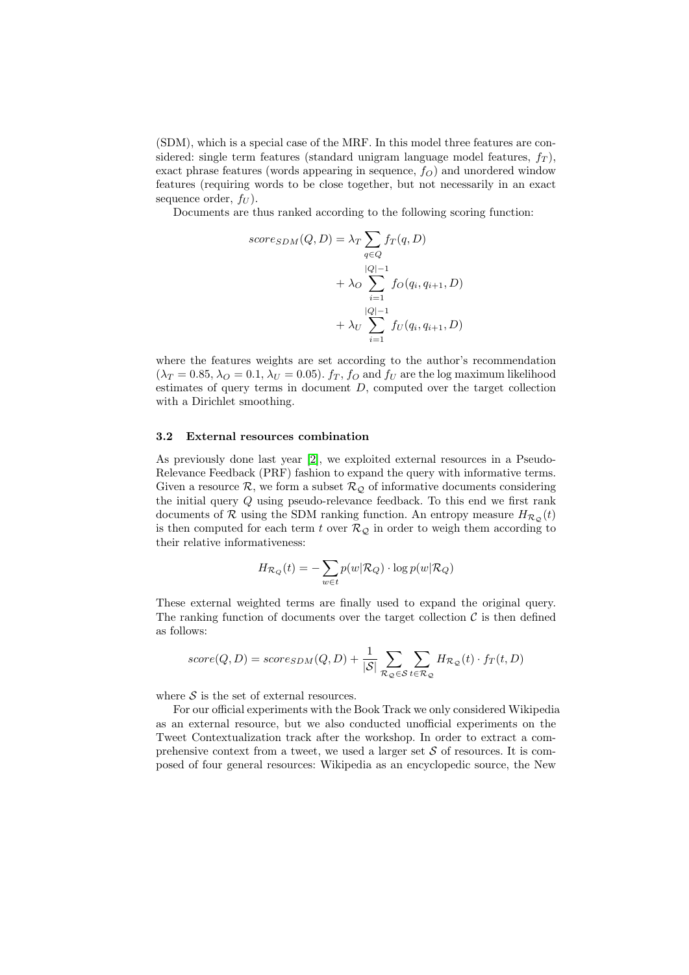(SDM), which is a special case of the MRF. In this model three features are considered: single term features (standard unigram language model features,  $f_T$ ), exact phrase features (words appearing in sequence,  $f<sub>O</sub>$ ) and unordered window features (requiring words to be close together, but not necessarily in an exact sequence order,  $f_{U}$ ).

Documents are thus ranked according to the following scoring function:

$$
score_{SDM}(Q, D) = \lambda_T \sum_{q \in Q} f_T(q, D)
$$

$$
+ \lambda_O \sum_{i=1}^{|Q|-1} f_O(q_i, q_{i+1}, D)
$$

$$
+ \lambda_U \sum_{i=1}^{|Q|-1} f_U(q_i, q_{i+1}, D)
$$

where the features weights are set according to the author's recommendation  $(\lambda_T = 0.85, \lambda_O = 0.1, \lambda_U = 0.05)$ .  $f_T$ ,  $f_O$  and  $f_U$  are the log maximum likelihood estimates of query terms in document  $D$ , computed over the target collection with a Dirichlet smoothing.

### <span id="page-2-0"></span>3.2 External resources combination

As previously done last year [\[2\]](#page-10-1), we exploited external resources in a Pseudo-Relevance Feedback (PRF) fashion to expand the query with informative terms. Given a resource  $\mathcal{R}$ , we form a subset  $\mathcal{R}_{\mathcal{Q}}$  of informative documents considering the initial query Q using pseudo-relevance feedback. To this end we first rank documents of R using the SDM ranking function. An entropy measure  $H_{\mathcal{R}_{\mathcal{Q}}}(t)$ is then computed for each term t over  $\mathcal{R}_{\mathcal{Q}}$  in order to weigh them according to their relative informativeness:

$$
H_{\mathcal{R}_Q}(t) = -\sum_{w \in t} p(w|\mathcal{R}_Q) \cdot \log p(w|\mathcal{R}_Q)
$$

These external weighted terms are finally used to expand the original query. The ranking function of documents over the target collection  $\mathcal C$  is then defined as follows:

$$
score(Q, D) = score_{SDM}(Q, D) + \frac{1}{|S|} \sum_{\mathcal{R}_{\mathcal{Q}} \in \mathcal{S}} \sum_{t \in \mathcal{R}_{\mathcal{Q}}} H_{\mathcal{R}_{\mathcal{Q}}}(t) \cdot f_T(t, D)
$$

where  $S$  is the set of external resources.

For our official experiments with the Book Track we only considered Wikipedia as an external resource, but we also conducted unofficial experiments on the Tweet Contextualization track after the workshop. In order to extract a comprehensive context from a tweet, we used a larger set  $S$  of resources. It is composed of four general resources: Wikipedia as an encyclopedic source, the New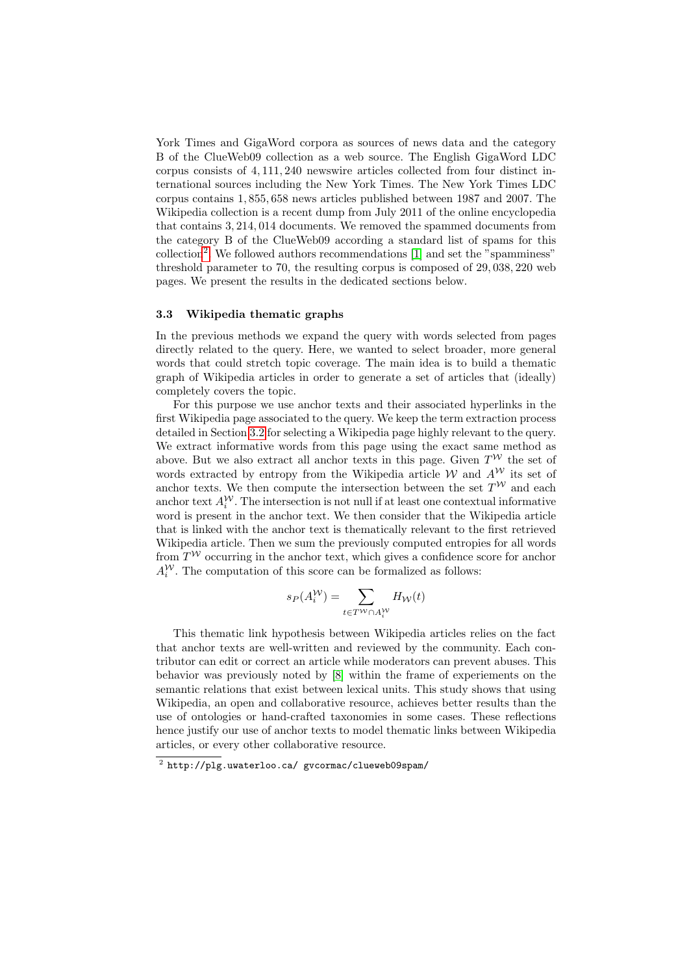York Times and GigaWord corpora as sources of news data and the category B of the ClueWeb09 collection as a web source. The English GigaWord LDC corpus consists of 4, 111, 240 newswire articles collected from four distinct international sources including the New York Times. The New York Times LDC corpus contains 1, 855, 658 news articles published between 1987 and 2007. The Wikipedia collection is a recent dump from July 2011 of the online encyclopedia that contains 3, 214, 014 documents. We removed the spammed documents from the category B of the ClueWeb09 according a standard list of spams for this collection[2](#page-3-0) . We followed authors recommendations [\[1\]](#page-10-2) and set the "spamminess" threshold parameter to 70, the resulting corpus is composed of 29, 038, 220 web pages. We present the results in the dedicated sections below.

#### <span id="page-3-1"></span>3.3 Wikipedia thematic graphs

In the previous methods we expand the query with words selected from pages directly related to the query. Here, we wanted to select broader, more general words that could stretch topic coverage. The main idea is to build a thematic graph of Wikipedia articles in order to generate a set of articles that (ideally) completely covers the topic.

For this purpose we use anchor texts and their associated hyperlinks in the first Wikipedia page associated to the query. We keep the term extraction process detailed in Section [3.2](#page-2-0) for selecting a Wikipedia page highly relevant to the query. We extract informative words from this page using the exact same method as above. But we also extract all anchor texts in this page. Given  $T^{\mathcal{W}}$  the set of words extracted by entropy from the Wikipedia article W and  $A^{\mathcal{W}}$  its set of anchor texts. We then compute the intersection between the set  $T^{\mathcal{W}}$  and each anchor text  $A_i^{\mathcal{W}}$ . The intersection is not null if at least one contextual informative word is present in the anchor text. We then consider that the Wikipedia article that is linked with the anchor text is thematically relevant to the first retrieved Wikipedia article. Then we sum the previously computed entropies for all words from  $T^{\mathcal{W}}$  occurring in the anchor text, which gives a confidence score for anchor  $A_i^{\mathcal{W}}$ . The computation of this score can be formalized as follows:

$$
s_P(A_i^{\mathcal{W}}) = \sum_{t \in T^{\mathcal{W}} \cap A_i^{\mathcal{W}}} H_{\mathcal{W}}(t)
$$

This thematic link hypothesis between Wikipedia articles relies on the fact that anchor texts are well-written and reviewed by the community. Each contributor can edit or correct an article while moderators can prevent abuses. This behavior was previously noted by [\[8\]](#page-11-3) within the frame of experiements on the semantic relations that exist between lexical units. This study shows that using Wikipedia, an open and collaborative resource, achieves better results than the use of ontologies or hand-crafted taxonomies in some cases. These reflections hence justify our use of anchor texts to model thematic links between Wikipedia articles, or every other collaborative resource.

<span id="page-3-0"></span> $^2$  http://plg.uwaterloo.ca/ gvcormac/clueweb09spam/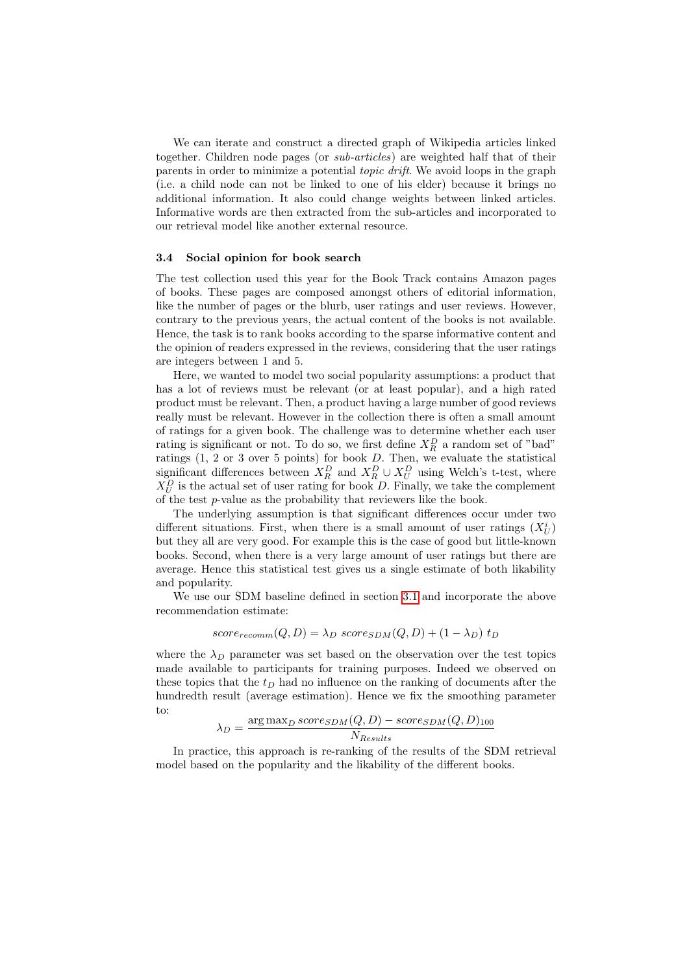We can iterate and construct a directed graph of Wikipedia articles linked together. Children node pages (or sub-articles) are weighted half that of their parents in order to minimize a potential topic drift. We avoid loops in the graph (i.e. a child node can not be linked to one of his elder) because it brings no additional information. It also could change weights between linked articles. Informative words are then extracted from the sub-articles and incorporated to our retrieval model like another external resource.

#### <span id="page-4-0"></span>3.4 Social opinion for book search

The test collection used this year for the Book Track contains Amazon pages of books. These pages are composed amongst others of editorial information, like the number of pages or the blurb, user ratings and user reviews. However, contrary to the previous years, the actual content of the books is not available. Hence, the task is to rank books according to the sparse informative content and the opinion of readers expressed in the reviews, considering that the user ratings are integers between 1 and 5.

Here, we wanted to model two social popularity assumptions: a product that has a lot of reviews must be relevant (or at least popular), and a high rated product must be relevant. Then, a product having a large number of good reviews really must be relevant. However in the collection there is often a small amount of ratings for a given book. The challenge was to determine whether each user rating is significant or not. To do so, we first define  $X_R^D$  a random set of "bad" ratings (1, 2 or 3 over 5 points) for book D. Then, we evaluate the statistical significant differences between  $X_R^D$  and  $X_R^D \cup X_U^D$  using Welch's t-test, where  $X_U^D$  is the actual set of user rating for book D. Finally, we take the complement of the test  $p$ -value as the probability that reviewers like the book.

The underlying assumption is that significant differences occur under two different situations. First, when there is a small amount of user ratings  $(X_U^i)$ but they all are very good. For example this is the case of good but little-known books. Second, when there is a very large amount of user ratings but there are average. Hence this statistical test gives us a single estimate of both likability and popularity.

We use our SDM baseline defined in section [3.1](#page-1-1) and incorporate the above recommendation estimate:

$$
score_{recomm}(Q, D) = \lambda_D \ score_{SDM}(Q, D) + (1 - \lambda_D) \ t_D
$$

where the  $\lambda_D$  parameter was set based on the observation over the test topics made available to participants for training purposes. Indeed we observed on these topics that the  $t_D$  had no influence on the ranking of documents after the hundredth result (average estimation). Hence we fix the smoothing parameter to:

$$
\lambda_D = \frac{\arg \max_D score_{SDM}(Q, D) - score_{SDM}(Q, D)_{100}}{N_{Results}}
$$

In practice, this approach is re-ranking of the results of the SDM retrieval model based on the popularity and the likability of the different books.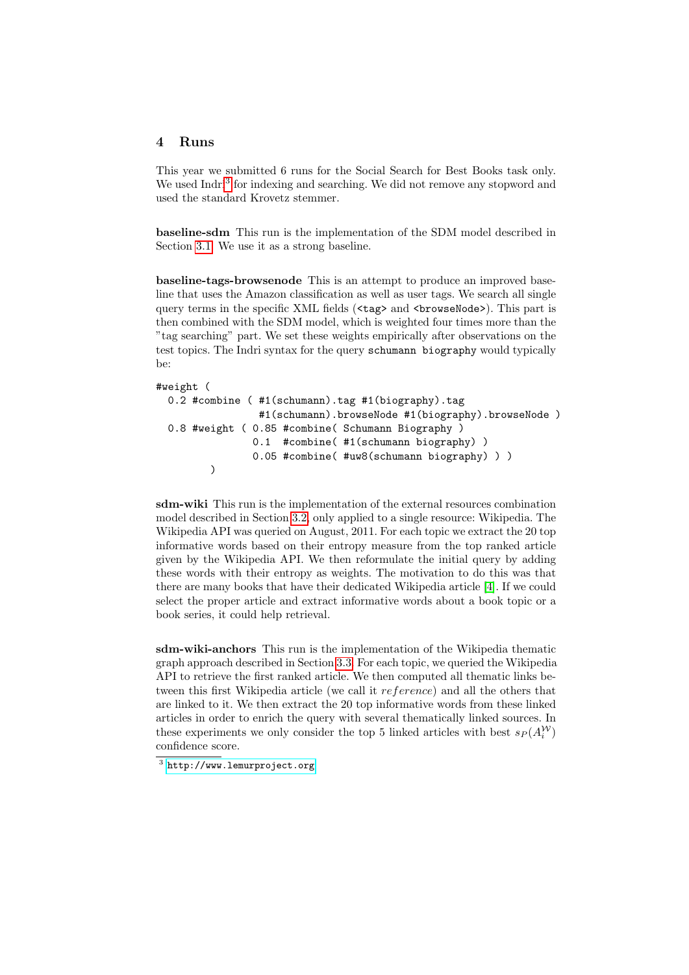# <span id="page-5-0"></span>4 Runs

This year we submitted 6 runs for the Social Search for Best Books task only. We used Indri<sup>[3](#page-5-1)</sup> for indexing and searching. We did not remove any stopword and used the standard Krovetz stemmer.

baseline-sdm This run is the implementation of the SDM model described in Section [3.1.](#page-1-1) We use it as a strong baseline.

baseline-tags-browsenode This is an attempt to produce an improved baseline that uses the Amazon classification as well as user tags. We search all single query terms in the specific XML fields (<tag> and <br/> <br/> <br/>seNode>). This part is then combined with the SDM model, which is weighted four times more than the "tag searching" part. We set these weights empirically after observations on the test topics. The Indri syntax for the query schumann biography would typically  $he:$ 

```
#weight (
0.2 #combine ( #1(schumann).tag #1(biography).tag
                #1(schumann).browseNode #1(biography).browseNode )
0.8 #weight ( 0.85 #combine( Schumann Biography )
               0.1 #combine( #1(schumann biography) )
               0.05 #combine( #uw8(schumann biography) ) )
       )
```
sdm-wiki This run is the implementation of the external resources combination model described in Section [3.2,](#page-2-0) only applied to a single resource: Wikipedia. The Wikipedia API was queried on August, 2011. For each topic we extract the 20 top informative words based on their entropy measure from the top ranked article given by the Wikipedia API. We then reformulate the initial query by adding these words with their entropy as weights. The motivation to do this was that there are many books that have their dedicated Wikipedia article [\[4\]](#page-11-0). If we could select the proper article and extract informative words about a book topic or a book series, it could help retrieval.

sdm-wiki-anchors This run is the implementation of the Wikipedia thematic graph approach described in Section [3.3.](#page-3-1) For each topic, we queried the Wikipedia API to retrieve the first ranked article. We then computed all thematic links between this first Wikipedia article (we call it reference) and all the others that are linked to it. We then extract the 20 top informative words from these linked articles in order to enrich the query with several thematically linked sources. In these experiments we only consider the top 5 linked articles with best  $s_P(A_i^{\mathcal{W}})$ confidence score.

<span id="page-5-1"></span> $^3$  <http://www.lemurproject.org>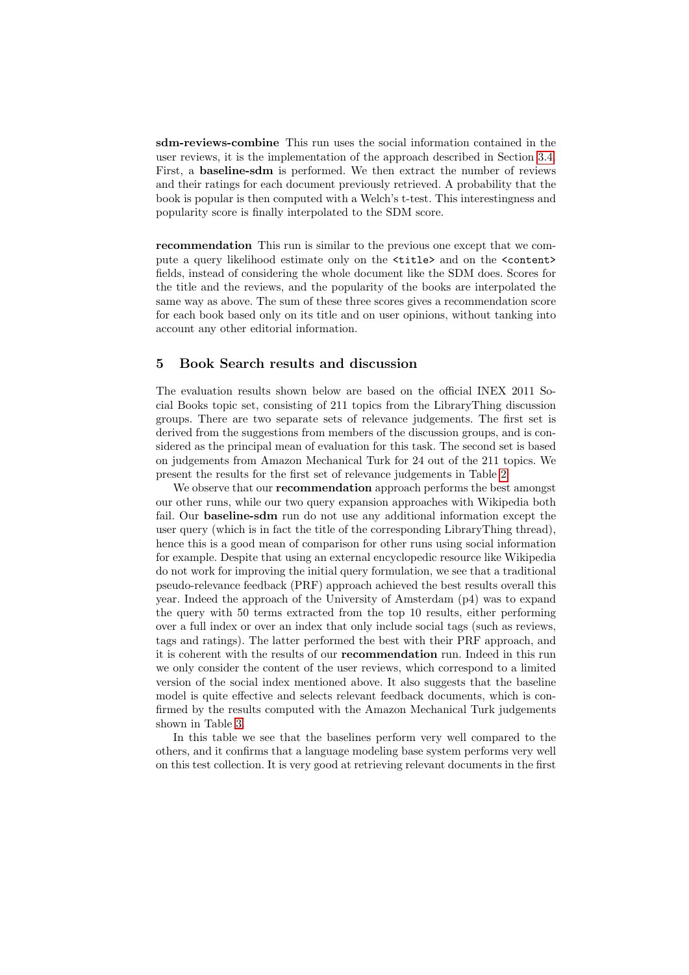sdm-reviews-combine This run uses the social information contained in the user reviews, it is the implementation of the approach described in Section [3.4.](#page-4-0) First, a baseline-sdm is performed. We then extract the number of reviews and their ratings for each document previously retrieved. A probability that the book is popular is then computed with a Welch's t-test. This interestingness and popularity score is finally interpolated to the SDM score.

recommendation This run is similar to the previous one except that we compute a query likelihood estimate only on the  $\text{title>}$  and on the  $\text{content>}$ fields, instead of considering the whole document like the SDM does. Scores for the title and the reviews, and the popularity of the books are interpolated the same way as above. The sum of these three scores gives a recommendation score for each book based only on its title and on user opinions, without tanking into account any other editorial information.

### <span id="page-6-0"></span>5 Book Search results and discussion

The evaluation results shown below are based on the official INEX 2011 Social Books topic set, consisting of 211 topics from the LibraryThing discussion groups. There are two separate sets of relevance judgements. The first set is derived from the suggestions from members of the discussion groups, and is considered as the principal mean of evaluation for this task. The second set is based on judgements from Amazon Mechanical Turk for 24 out of the 211 topics. We present the results for the first set of relevance judgements in Table [2.](#page-7-0)

We observe that our **recommendation** approach performs the best amongst our other runs, while our two query expansion approaches with Wikipedia both fail. Our baseline-sdm run do not use any additional information except the user query (which is in fact the title of the corresponding LibraryThing thread), hence this is a good mean of comparison for other runs using social information for example. Despite that using an external encyclopedic resource like Wikipedia do not work for improving the initial query formulation, we see that a traditional pseudo-relevance feedback (PRF) approach achieved the best results overall this year. Indeed the approach of the University of Amsterdam (p4) was to expand the query with 50 terms extracted from the top 10 results, either performing over a full index or over an index that only include social tags (such as reviews, tags and ratings). The latter performed the best with their PRF approach, and it is coherent with the results of our recommendation run. Indeed in this run we only consider the content of the user reviews, which correspond to a limited version of the social index mentioned above. It also suggests that the baseline model is quite effective and selects relevant feedback documents, which is confirmed by the results computed with the Amazon Mechanical Turk judgements shown in Table [3.](#page-7-1)

In this table we see that the baselines perform very well compared to the others, and it confirms that a language modeling base system performs very well on this test collection. It is very good at retrieving relevant documents in the first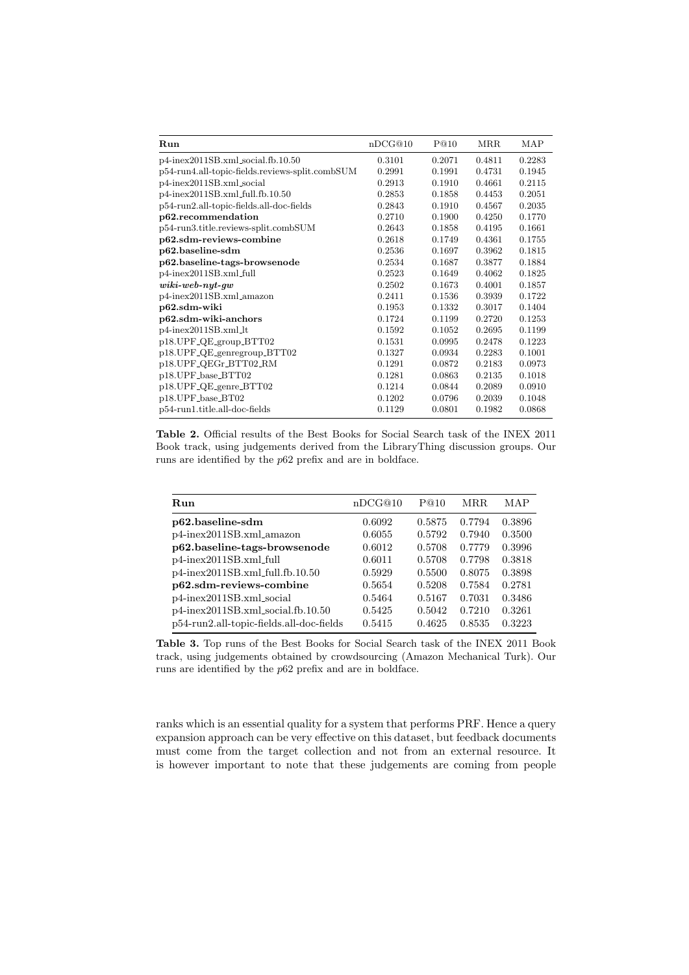| Run                                             | nDCG@10 | P@10   | <b>MRR</b> | <b>MAP</b> |
|-------------------------------------------------|---------|--------|------------|------------|
| $p4$ -inex2011SB.xml_social.fb.10.50            | 0.3101  | 0.2071 | 0.4811     | 0.2283     |
| p54-run4.all-topic-fields.reviews-split.combSUM | 0.2991  | 0.1991 | 0.4731     | 0.1945     |
| p4-inex2011SB.xml_social                        | 0.2913  | 0.1910 | 0.4661     | 0.2115     |
| p4-inex2011SB.xml_full.fb.10.50                 | 0.2853  | 0.1858 | 0.4453     | 0.2051     |
| $p54$ -run2.all-topic-fields.all-doc-fields     | 0.2843  | 0.1910 | 0.4567     | 0.2035     |
| p62.recommendation                              | 0.2710  | 0.1900 | 0.4250     | 0.1770     |
| p54-run3.title.reviews-split.combSUM            | 0.2643  | 0.1858 | 0.4195     | 0.1661     |
| p62.sdm-reviews-combine                         | 0.2618  | 0.1749 | 0.4361     | 0.1755     |
| p62.baseline-sdm                                | 0.2536  | 0.1697 | 0.3962     | 0.1815     |
| p62.baseline-tags-browsenode                    | 0.2534  | 0.1687 | 0.3877     | 0.1884     |
| p4-inex2011SB.xml_full                          | 0.2523  | 0.1649 | 0.4062     | 0.1825     |
| $wiki-web-nyt-gw$                               | 0.2502  | 0.1673 | 0.4001     | 0.1857     |
| p4-inex2011SB.xml_amazon                        | 0.2411  | 0.1536 | 0.3939     | 0.1722     |
| p62.sdm-wiki                                    | 0.1953  | 0.1332 | 0.3017     | 0.1404     |
| p62.sdm-wiki-anchors                            | 0.1724  | 0.1199 | 0.2720     | 0.1253     |
| p4-inex2011SB.xml_lt                            | 0.1592  | 0.1052 | 0.2695     | 0.1199     |
| p18.UPF_QE_group_BTT02                          | 0.1531  | 0.0995 | 0.2478     | 0.1223     |
| p18.UPF_QE_genregroup_BTT02                     | 0.1327  | 0.0934 | 0.2283     | 0.1001     |
| p18.UPF_QEGr_BTT02_RM                           | 0.1291  | 0.0872 | 0.2183     | 0.0973     |
| p18.UPF_base_BTT02                              | 0.1281  | 0.0863 | 0.2135     | 0.1018     |
| p18.UPF_QE_genre_BTT02                          | 0.1214  | 0.0844 | 0.2089     | 0.0910     |
| p18.UPF_base_BT02                               | 0.1202  | 0.0796 | 0.2039     | 0.1048     |
| p54-run1.title.all-doc-fields                   | 0.1129  | 0.0801 | 0.1982     | 0.0868     |

<span id="page-7-0"></span>Table 2. Official results of the Best Books for Social Search task of the INEX 2011 Book track, using judgements derived from the LibraryThing discussion groups. Our runs are identified by the p62 prefix and are in boldface.

| Run                                      | nDCG@10 | P@10   | MRR.   | MAP    |
|------------------------------------------|---------|--------|--------|--------|
| p62.baseline-sdm                         | 0.6092  | 0.5875 | 0.7794 | 0.3896 |
| p4-inex2011SB.xml_amazon                 | 0.6055  | 0.5792 | 0.7940 | 0.3500 |
| p62.baseline-tags-browsenode             | 0.6012  | 0.5708 | 0.7779 | 0.3996 |
| p4-inex2011SB.xml_full                   | 0.6011  | 0.5708 | 0.7798 | 0.3818 |
| p4-inex2011SB.xml_full.fb.10.50          | 0.5929  | 0.5500 | 0.8075 | 0.3898 |
| p62.sdm-reviews-combine                  | 0.5654  | 0.5208 | 0.7584 | 0.2781 |
| p4-inex2011SB.xml_social                 | 0.5464  | 0.5167 | 0.7031 | 0.3486 |
| p4-inex2011SB.xml_social.fb.10.50        | 0.5425  | 0.5042 | 0.7210 | 0.3261 |
| p54-run2.all-topic-fields.all-doc-fields | 0.5415  | 0.4625 | 0.8535 | 0.3223 |

<span id="page-7-1"></span>Table 3. Top runs of the Best Books for Social Search task of the INEX 2011 Book track, using judgements obtained by crowdsourcing (Amazon Mechanical Turk). Our runs are identified by the p62 prefix and are in boldface.

ranks which is an essential quality for a system that performs PRF. Hence a query expansion approach can be very effective on this dataset, but feedback documents must come from the target collection and not from an external resource. It is however important to note that these judgements are coming from people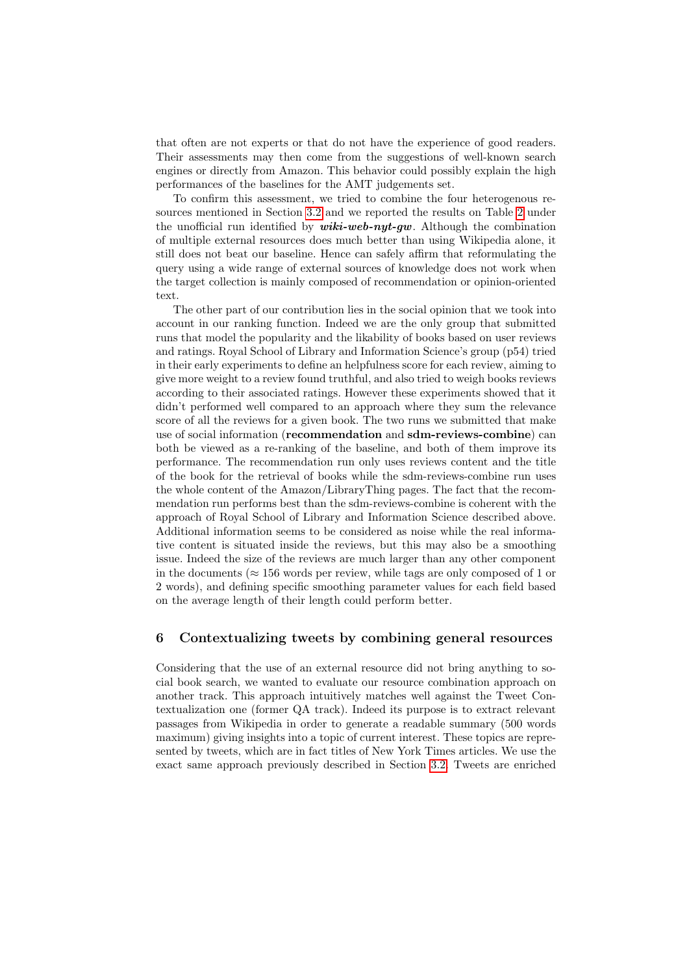that often are not experts or that do not have the experience of good readers. Their assessments may then come from the suggestions of well-known search engines or directly from Amazon. This behavior could possibly explain the high performances of the baselines for the AMT judgements set.

To confirm this assessment, we tried to combine the four heterogenous resources mentioned in Section [3.2](#page-2-0) and we reported the results on Table [2](#page-7-0) under the unofficial run identified by  $wiki\text{-}web\text{-}nyt\text{-}gw$ . Although the combination of multiple external resources does much better than using Wikipedia alone, it still does not beat our baseline. Hence can safely affirm that reformulating the query using a wide range of external sources of knowledge does not work when the target collection is mainly composed of recommendation or opinion-oriented text.

The other part of our contribution lies in the social opinion that we took into account in our ranking function. Indeed we are the only group that submitted runs that model the popularity and the likability of books based on user reviews and ratings. Royal School of Library and Information Science's group (p54) tried in their early experiments to define an helpfulness score for each review, aiming to give more weight to a review found truthful, and also tried to weigh books reviews according to their associated ratings. However these experiments showed that it didn't performed well compared to an approach where they sum the relevance score of all the reviews for a given book. The two runs we submitted that make use of social information (recommendation and sdm-reviews-combine) can both be viewed as a re-ranking of the baseline, and both of them improve its performance. The recommendation run only uses reviews content and the title of the book for the retrieval of books while the sdm-reviews-combine run uses the whole content of the Amazon/LibraryThing pages. The fact that the recommendation run performs best than the sdm-reviews-combine is coherent with the approach of Royal School of Library and Information Science described above. Additional information seems to be considered as noise while the real informative content is situated inside the reviews, but this may also be a smoothing issue. Indeed the size of the reviews are much larger than any other component in the documents ( $\approx 156$  words per review, while tags are only composed of 1 or 2 words), and defining specific smoothing parameter values for each field based on the average length of their length could perform better.

### <span id="page-8-0"></span>6 Contextualizing tweets by combining general resources

Considering that the use of an external resource did not bring anything to social book search, we wanted to evaluate our resource combination approach on another track. This approach intuitively matches well against the Tweet Contextualization one (former QA track). Indeed its purpose is to extract relevant passages from Wikipedia in order to generate a readable summary (500 words maximum) giving insights into a topic of current interest. These topics are represented by tweets, which are in fact titles of New York Times articles. We use the exact same approach previously described in Section [3.2.](#page-2-0) Tweets are enriched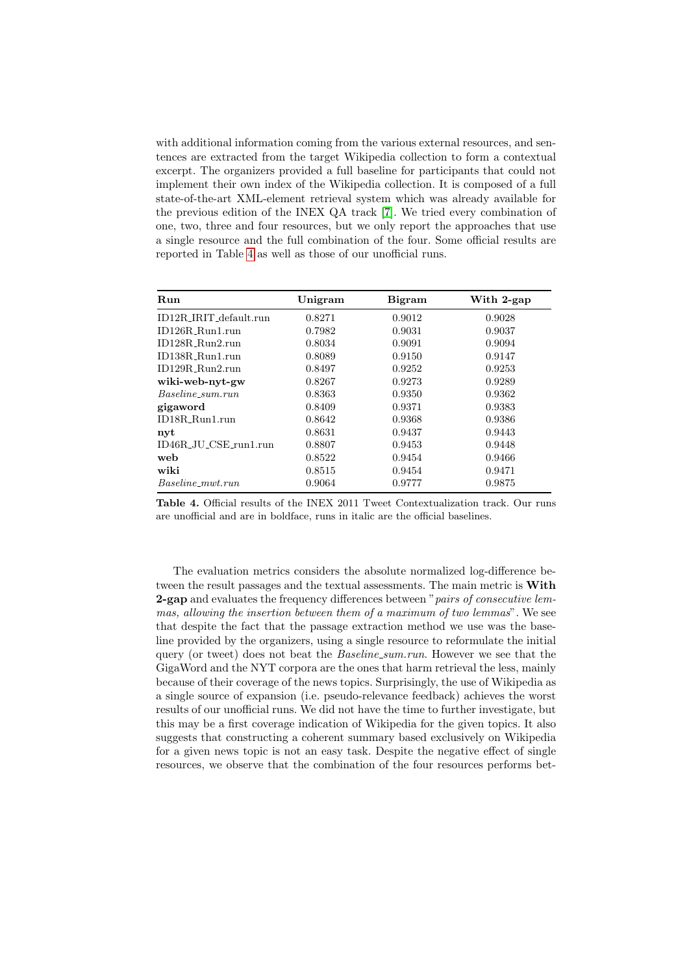with additional information coming from the various external resources, and sentences are extracted from the target Wikipedia collection to form a contextual excerpt. The organizers provided a full baseline for participants that could not implement their own index of the Wikipedia collection. It is composed of a full state-of-the-art XML-element retrieval system which was already available for the previous edition of the INEX QA track [\[7\]](#page-11-4). We tried every combination of one, two, three and four resources, but we only report the approaches that use a single resource and the full combination of the four. Some official results are reported in Table [4](#page-9-0) as well as those of our unofficial runs.

| Run                     | Unigram | <b>Bigram</b> | With 2-gap |
|-------------------------|---------|---------------|------------|
| ID12R_IRIT_default.run  | 0.8271  | 0.9012        | 0.9028     |
| $ID126R_Run1.run$       | 0.7982  | 0.9031        | 0.9037     |
| $ID128R_Run2.run$       | 0.8034  | 0.9091        | 0.9094     |
| ID138R_Run1.run         | 0.8089  | 0.9150        | 0.9147     |
| $ID129R_Run2.run$       | 0.8497  | 0.9252        | 0.9253     |
| wiki-web-nyt-gw         | 0.8267  | 0.9273        | 0.9289     |
| Baseline_sum.run        | 0.8363  | 0.9350        | 0.9362     |
| gigaword                | 0.8409  | 0.9371        | 0.9383     |
| ID18R_Run1.run          | 0.8642  | 0.9368        | 0.9386     |
| nyt                     | 0.8631  | 0.9437        | 0.9443     |
| ID46R_JU_CSE_run1.run   | 0.8807  | 0.9453        | 0.9448     |
| web                     | 0.8522  | 0.9454        | 0.9466     |
| wiki                    | 0.8515  | 0.9454        | 0.9471     |
| <i>Baseline_mut.run</i> | 0.9064  | 0.9777        | 0.9875     |

<span id="page-9-0"></span>Table 4. Official results of the INEX 2011 Tweet Contextualization track. Our runs are unofficial and are in boldface, runs in italic are the official baselines.

The evaluation metrics considers the absolute normalized log-difference between the result passages and the textual assessments. The main metric is **With** 2-gap and evaluates the frequency differences between "pairs of consecutive lemmas, allowing the insertion between them of a maximum of two lemmas". We see that despite the fact that the passage extraction method we use was the baseline provided by the organizers, using a single resource to reformulate the initial query (or tweet) does not beat the *Baseline\_sum.run*. However we see that the GigaWord and the NYT corpora are the ones that harm retrieval the less, mainly because of their coverage of the news topics. Surprisingly, the use of Wikipedia as a single source of expansion (i.e. pseudo-relevance feedback) achieves the worst results of our unofficial runs. We did not have the time to further investigate, but this may be a first coverage indication of Wikipedia for the given topics. It also suggests that constructing a coherent summary based exclusively on Wikipedia for a given news topic is not an easy task. Despite the negative effect of single resources, we observe that the combination of the four resources performs bet-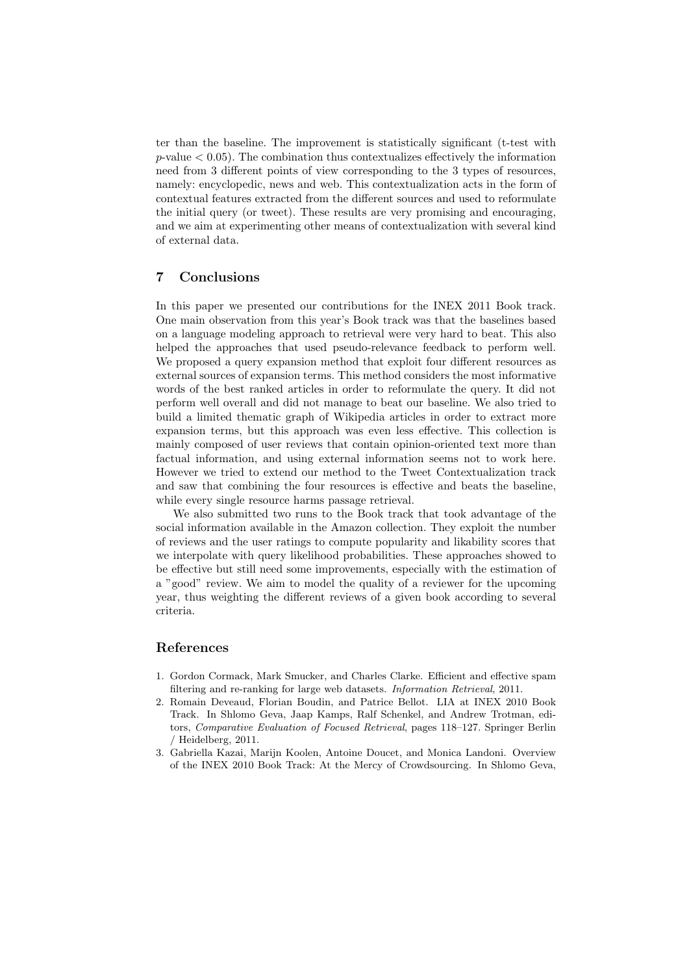ter than the baseline. The improvement is statistically significant (t-test with  $p$ -value  $< 0.05$ ). The combination thus contextualizes effectively the information need from 3 different points of view corresponding to the 3 types of resources, namely: encyclopedic, news and web. This contextualization acts in the form of contextual features extracted from the different sources and used to reformulate the initial query (or tweet). These results are very promising and encouraging, and we aim at experimenting other means of contextualization with several kind of external data.

# 7 Conclusions

In this paper we presented our contributions for the INEX 2011 Book track. One main observation from this year's Book track was that the baselines based on a language modeling approach to retrieval were very hard to beat. This also helped the approaches that used pseudo-relevance feedback to perform well. We proposed a query expansion method that exploit four different resources as external sources of expansion terms. This method considers the most informative words of the best ranked articles in order to reformulate the query. It did not perform well overall and did not manage to beat our baseline. We also tried to build a limited thematic graph of Wikipedia articles in order to extract more expansion terms, but this approach was even less effective. This collection is mainly composed of user reviews that contain opinion-oriented text more than factual information, and using external information seems not to work here. However we tried to extend our method to the Tweet Contextualization track and saw that combining the four resources is effective and beats the baseline, while every single resource harms passage retrieval.

We also submitted two runs to the Book track that took advantage of the social information available in the Amazon collection. They exploit the number of reviews and the user ratings to compute popularity and likability scores that we interpolate with query likelihood probabilities. These approaches showed to be effective but still need some improvements, especially with the estimation of a "good" review. We aim to model the quality of a reviewer for the upcoming year, thus weighting the different reviews of a given book according to several criteria.

# References

- <span id="page-10-2"></span>1. Gordon Cormack, Mark Smucker, and Charles Clarke. Efficient and effective spam filtering and re-ranking for large web datasets. Information Retrieval, 2011.
- <span id="page-10-1"></span>2. Romain Deveaud, Florian Boudin, and Patrice Bellot. LIA at INEX 2010 Book Track. In Shlomo Geva, Jaap Kamps, Ralf Schenkel, and Andrew Trotman, editors, Comparative Evaluation of Focused Retrieval, pages 118–127. Springer Berlin / Heidelberg, 2011.
- <span id="page-10-0"></span>3. Gabriella Kazai, Marijn Koolen, Antoine Doucet, and Monica Landoni. Overview of the INEX 2010 Book Track: At the Mercy of Crowdsourcing. In Shlomo Geva,